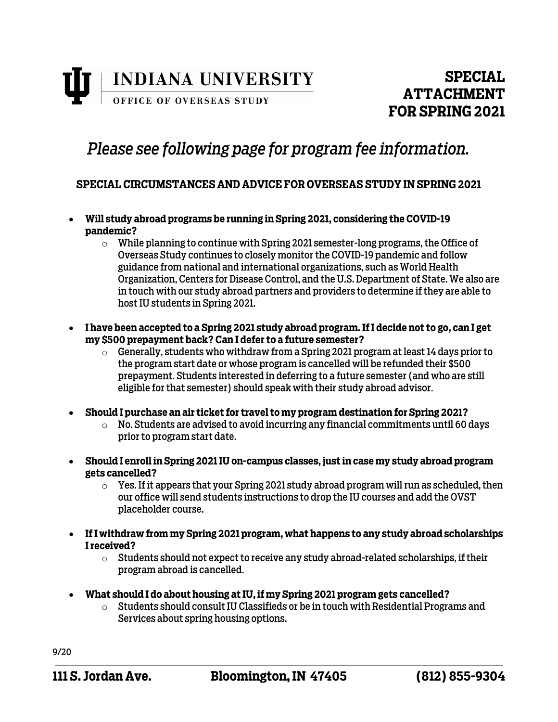

### *Please see following page for program fee information.*

### **SPECIAL CIRCUMSTANCES AND ADVICE FOR OVERSEAS STUDY IN SPRING 2021**

- **Will study abroad programs be running in Spring 2021, considering the COVID-19 pandemic?** 
	- $\circ$  While planning to continue with Spring 2021 semester-long programs, the Office of Overseas Study continues to closely monitor the COVID-19 pandemic and follow guidance from national and international organizations, such as World Health Organization, Centers for Disease Control, and the U.S. Department of State. We also are in touch with our study abroad partners and providers to determine if they are able to host IU students in Spring 2021.
- **I have been accepted to a Spring 2021 study abroad program. If I decide not to go, can I get my \$500 prepayment back? Can I defer to a future semester?**
	- $\circ$  Generally, students who withdraw from a Spring 2021 program at least 14 days prior to the program start date or whose program is cancelled will be refunded their \$500 prepayment. Students interested in deferring to a future semester (and who are still eligible for that semester) should speak with their study abroad advisor.
- **Should I purchase an air ticket for travel to my program destination for Spring 2021?**
	- $\circ$  No. Students are advised to avoid incurring any financial commitments until 60 days prior to program start date.
- **Should I enroll in Spring 2021 IU on-campus classes, just in case my study abroad program gets cancelled?**
	- $\circ$  Yes. If it appears that your Spring 2021 study abroad program will run as scheduled, then our office will send students instructions to drop the IU courses and add the OVST placeholder course.
- **If I withdraw from my Spring 2021 program, what happens to any study abroad scholarships I received?**
	- $\circ$  Students should not expect to receive any study abroad-related scholarships, if their program abroad is cancelled.
- **What should I do about housing at IU, if my Spring 2021 program gets cancelled?**
	- o Students should consult IU Classifieds or be in touch with Residential Programs and Services about spring housing options.